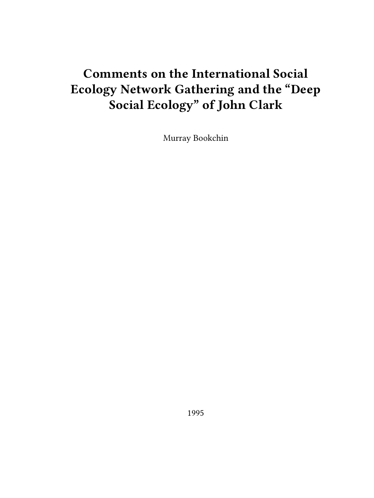# **Comments on the International Social Ecology Network Gathering and the "Deep Social Ecology" of John Clark**

Murray Bookchin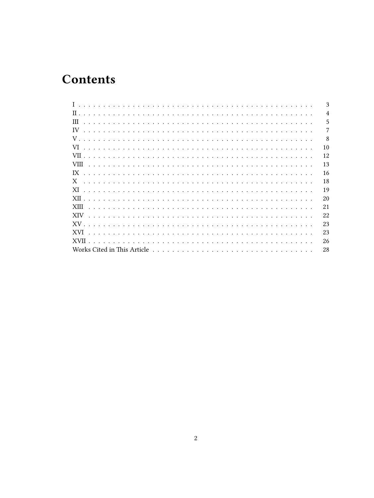## **Contents**

|             | 3  |
|-------------|----|
|             | 4  |
| Ш           | 5  |
|             | 7  |
|             | 8  |
| VI.         | 10 |
|             | 12 |
| <b>VIII</b> | 13 |
| IX          | 16 |
| X           | 18 |
| XI          | 19 |
|             | 20 |
| <b>XIII</b> | 21 |
| <b>XIV</b>  | 22 |
|             | 23 |
| XVI.        | 23 |
|             | 26 |
|             | 28 |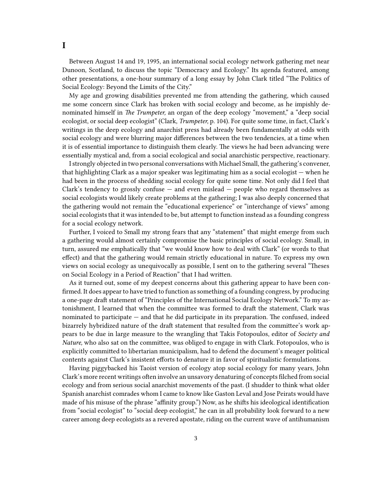<span id="page-2-0"></span>Between August 14 and 19, 1995, an international social ecology network gathering met near Dunoon, Scotland, to discuss the topic "Democracy and Ecology." Its agenda featured, among other presentations, a one-hour summary of a long essay by John Clark titled "The Politics of Social Ecology: Beyond the Limits of the City."

My age and growing disabilities prevented me from attending the gathering, which caused me some concern since Clark has broken with social ecology and become, as he impishly denominated himself in *The Trumpeter,* an organ of the deep ecology "movement," a "deep social ecologist, or social deep ecologist" (Clark, *Trumpeter,* p. 104). For quite some time, in fact, Clark's writings in the deep ecology and anarchist press had already been fundamentally at odds with social ecology and were blurring major differences between the two tendencies, at a time when it is of essential importance to distinguish them clearly. The views he had been advancing were essentially mystical and, from a social ecological and social anarchistic perspective, reactionary.

I strongly objected in two personal conversations with Michael Small, the gathering's convener, that highlighting Clark as a major speaker was legitimating him as a social ecologist — when he had been in the process of shedding social ecology for quite some time. Not only did I feel that Clark's tendency to grossly confuse  $-$  and even mislead  $-$  people who regard themselves as social ecologists would likely create problems at the gathering; I was also deeply concerned that the gathering would not remain the "educational experience" or "interchange of views" among social ecologists that it was intended to be, but attempt to function instead as a founding congress for a social ecology network.

Further, I voiced to Small my strong fears that any "statement" that might emerge from such a gathering would almost certainly compromise the basic principles of social ecology. Small, in turn, assured me emphatically that "we would know how to deal with Clark" (or words to that effect) and that the gathering would remain strictly educational in nature. To express my own views on social ecology as unequivocally as possible, I sent on to the gathering several "Theses on Social Ecology in a Period of Reaction" that I had written.

As it turned out, some of my deepest concerns about this gathering appear to have been confirmed. It does appear to have tried to function as something of a founding congress, by producing a one-page draft statement of "Principles of the International Social Ecology Network." To my astonishment, I learned that when the committee was formed to draft the statement, Clark was nominated to participate — and that he did participate in its preparation. The confused, indeed bizarrely hybridized nature of the draft statement that resulted from the committee's work appears to be due in large measure to the wrangling that Takis Fotopoulos, editor of *Society and Nature,* who also sat on the committee, was obliged to engage in with Clark. Fotopoulos, who is explicitly committed to libertarian municipalism, had to defend the document's meager political contents against Clark's insistent efforts to denature it in favor of spiritualistic formulations.

Having piggybacked his Taoist version of ecology atop social ecology for many years, John Clark's more recent writings often involve an unsavory denaturing of concepts filched from social ecology and from serious social anarchist movements of the past. (I shudder to think what older Spanish anarchist comrades whom I came to know like Gaston Leval and Jose Peirats would have made of his misuse of the phrase "affinity group.") Now, as he shifts his ideological identification from "social ecologist" to "social deep ecologist," he can in all probability look forward to a new career among deep ecologists as a revered apostate, riding on the current wave of antihumanism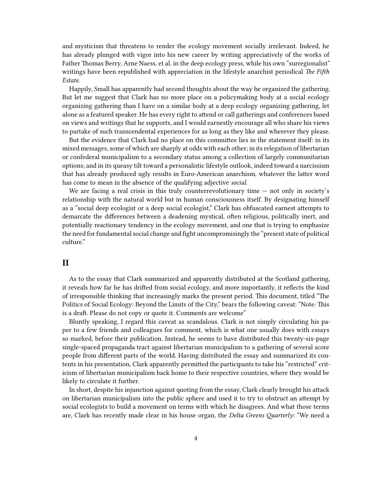and mysticism that threatens to render the ecology movement socially irrelevant. Indeed, he has already plunged with vigor into his new career by writing appreciatively of the works of Father Thomas Berry, Arne Naess, et al. in the deep ecology press, while his own "surregionalist" writings have been republished with appreciation in the lifestyle anarchist periodical *The Fifth Estate*.

Happily, Small has apparently had second thoughts about the way he organized the gathering. But let me suggest that Clark has no more place on a policymaking body at a social ecology organizing gathering than I have on a similar body at a deep ecology organizing gathering, let alone as a featured speaker. He has every right to attend or call gatherings and conferences based on views and writings that he supports, and I would earnestly encourage all who share his views to partake of such transcendental experiences for as long as they like and wherever they please.

But the evidence that Clark had no place on this committee lies in the statement itself: in its mixed messages, some of which are sharply at odds with each other; in its relegation of libertarian or confederal municipalism to a secondary status among a collection of largely communitarian options; and in its queasy tilt toward a personalistic lifestyle outlook, indeed toward a narcissism that has already produced ugly results in Euro-American anarchism, whatever the latter word has come to mean in the absence of the qualifying adjective *social*.

We are facing a real crisis in this truly counterrevolutionary time  $-$  not only in society's relationship with the natural world but in human consciousness itself. By designating himself as a "social deep ecologist or a deep social ecologist," Clark has obfuscated earnest attempts to demarcate the differences between a deadening mystical, often religious, politically inert, and potentially reactionary tendency in the ecology movement, and one that is trying to emphasize the need for fundamental social change and fight uncompromisingly the "present state of political culture."

#### <span id="page-3-0"></span>**II**

As to the essay that Clark summarized and apparently distributed at the Scotland gathering, it reveals how far he has drifted from social ecology, and more importantly, it reflects the kind of irresponsible thinking that increasingly marks the present period. This document, titled "The Politics of Social Ecology: Beyond the Limits of the City," bears the following caveat: "Note: This is a draft. Please do not copy or quote it. Comments are welcome"

Bluntly speaking, I regard this caveat as scandalous. Clark is not simply circulating his paper to a few friends and colleagues for comment, which is what one usually does with essays so marked, before their publication. Instead, he seems to have distributed this twenty-six-page single-spaced propaganda tract against libertarian municipalism to a gathering of several score people from different parts of the world. Having distributed the essay and summarized its contents in his presentation, Clark apparently permitted the participants to take his "restricted" criticism of libertarian municipalism back home to their respective countries, where they would be likely to circulate it further.

In short, despite his injunction against quoting from the essay, Clark clearly brought his attack on libertarian municipalism into the public sphere and used it to try to obstruct an attempt by social ecologists to build a movement on terms with which he disagrees. And what those terms are, Clark has recently made clear in his house organ, the *Delta Greens Quarterly*: "We need a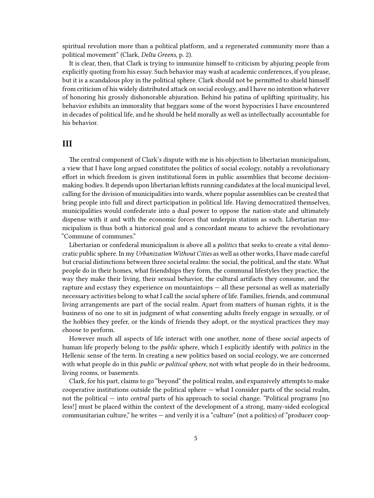spiritual revolution more than a political platform, and a regenerated community more than a political movement" (Clark, *Delta Greens,* p. 2).

It is clear, then, that Clark is trying to immunize himself to criticism by abjuring people from explicitly quoting from his essay. Such behavior may wash at academic conferences, if you please, but it is a scandalous ploy in the political sphere. Clark should not be permitted to shield himself from criticism of his widely distributed attack on social ecology, and I have no intention whatever of honoring his grossly dishonorable abjuration. Behind his patina of uplifting spirituality, his behavior exhibits an immorality that beggars some of the worst hypocrisies I have encountered in decades of political life, and he should be held morally as well as intellectually accountable for his behavior.

#### <span id="page-4-0"></span>**III**

The central component of Clark's dispute with me is his objection to libertarian municipalism, a view that I have long argued constitutes the politics of social ecology, notably a revolutionary effort in which freedom is given institutional form in public assemblies that become decisionmaking bodies. It depends upon libertarian leftists running candidates at the local municipal level, calling for the division of municipalities into wards, where popular assemblies can be created that bring people into full and direct participation in political life. Having democratized themselves, municipalities would confederate into a dual power to oppose the nation-state and ultimately dispense with it and with the economic forces that underpin statism as such. Libertarian municipalism is thus both a historical goal and a concordant means to achieve the revolutionary "Commune of communes."

Libertarian or confederal municipalism is above all a *politics* that seeks to create a vital democratic public sphere. In my *Urbanization Without Cities* as well as other works, I have made careful but crucial distinctions between three societal realms: the social, the political, and the state. What people do in their homes, what friendships they form, the communal lifestyles they practice, the way they make their living, their sexual behavior, the cultural artifacts they consume, and the rapture and ecstasy they experience on mountaintops — all these personal as well as materially necessary activities belong to what I call the *social* sphere of life. Families, friends, and communal living arrangements are part of the social realm. Apart from matters of human rights, it is the business of no one to sit in judgment of what consenting adults freely engage in sexually, or of the hobbies they prefer, or the kinds of friends they adopt, or the mystical practices they may choose to perform.

However much all aspects of life interact with one another, none of these *social* aspects of human life properly belong to the *public* sphere, which I explicitly identify with *politics* in the Hellenic sense of the term. In creating a new politics based on social ecology, we are concerned with what people do in this *public or political sphere,* not with what people do in their bedrooms, living rooms, or basements.

Clark, for his part, claims to go "beyond" the political realm, and expansively attempts to make cooperative institutions outside the political sphere — what I consider parts of the social realm, not the political — into *central* parts of his approach to social change. "Political programs [no less!] must be placed within the context of the development of a strong, many-sided ecological communitarian culture," he writes — and verily it is a "culture" (not a politics) of "producer coop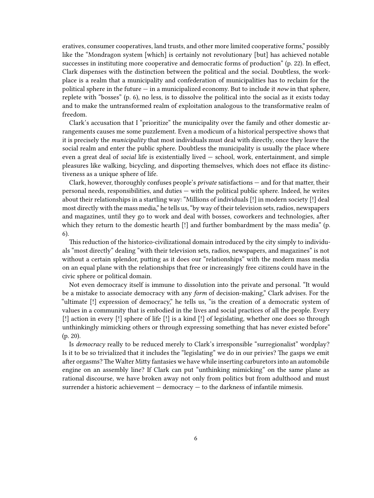eratives, consumer cooperatives, land trusts, and other more limited cooperative forms," possibly like the "Mondragon system [which] is certainly not revolutionary [but] has achieved notable successes in instituting more cooperative and democratic forms of production" (p. 22). In effect, Clark dispenses with the distinction between the political and the social. Doubtless, the workplace is a realm that a municipality and confederation of municipalities has to reclaim for the political sphere in the future — in a municipalized economy. But to include it *now* in that sphere, replete with "bosses" (p. 6), no less, is to dissolve the political into the social as it exists today and to make the untransformed realm of exploitation analogous to the transformative realm of freedom.

Clark's accusation that I "prioritize" the municipality over the family and other domestic arrangements causes me some puzzlement. Even a modicum of a historical perspective shows that it is precisely the *municipality* that most individuals must deal with directly, once they leave the social realm and enter the public sphere. Doubtless the municipality is usually the place where even a great deal of *social* life is existentially lived — school, work, entertainment, and simple pleasures like walking, bicycling, and disporting themselves, which does not efface its distinctiveness as a unique sphere of life.

Clark, however, thoroughly confuses people's *private* satisfactions — and for that matter, their personal needs, responsibilities, and duties — with the political public sphere. Indeed, he writes about their relationships in a startling way: "Millions of individuals [!] in modern society [!] deal most directly with the mass media," he tells us, "by way of their television sets, radios, newspapers and magazines, until they go to work and deal with bosses, coworkers and technologies, after which they return to the domestic hearth [!] and further bombardment by the mass media" (p. 6).

This reduction of the historico-civilizational domain introduced by the city simply to individuals "most directly" dealing "with their television sets, radios, newspapers, and magazines" is not without a certain splendor, putting as it does our "relationships" with the modern mass media on an equal plane with the relationships that free or increasingly free citizens could have in the civic sphere or political domain.

Not even democracy itself is immune to dissolution into the private and personal. "It would be a mistake to associate democracy with any *form* of decision-making," Clark advises. For the "ultimate [!] expression of democracy," he tells us, "is the creation of a democratic system of values in a community that is embodied in the lives and social practices of all the people. Every [!] action in every [!] sphere of life [!] is a kind [!] of legislating, whether one does so through unthinkingly mimicking others or through expressing something that has never existed before" (p. 20).

Is *democracy* really to be reduced merely to Clark's irresponsible "surregionalist" wordplay? Is it to be so trivialized that it includes the "legislating" we do in our privies? The gasps we emit after orgasms? The Walter Mitty fantasies we have while inserting carburetors into an automobile engine on an assembly line? If Clark can put "unthinking mimicking" on the same plane as rational discourse, we have broken away not only from politics but from adulthood and must surrender a historic achievement — democracy — to the darkness of infantile mimesis.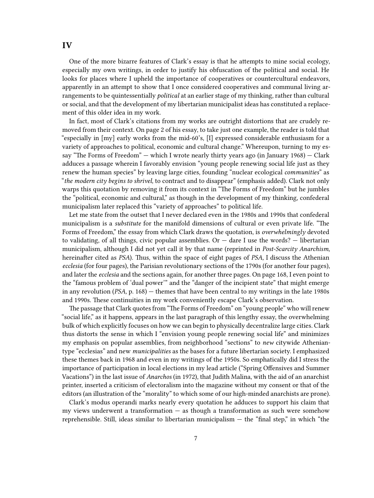<span id="page-6-0"></span>One of the more bizarre features of Clark's essay is that he attempts to mine social ecology, especially my own writings, in order to justify his obfuscation of the political and social. He looks for places where I upheld the importance of cooperatives or countercultural endeavors, apparently in an attempt to show that I once considered cooperatives and communal living arrangements to be quintessentially *political* at an earlier stage of my thinking, rather than cultural or social, and that the development of my libertarian municipalist ideas has constituted a replacement of this older idea in my work.

In fact, most of Clark's citations from my works are outright distortions that are crudely removed from their context. On page 2 of his essay, to take just one example, the reader is told that "especially in [my] early works from the mid-60's, [I] expressed considerable enthusiasm for a variety of approaches to political, economic and cultural change." Whereupon, turning to my essay "The Forms of Freedom" — which I wrote nearly thirty years ago (in January 1968) — Clark adduces a passage wherein I favorably envision "young people renewing social life just as they renew the human species" by leaving large cities, founding "nuclear ecological *communities*" as "*the modern city begins to shrivel,* to contract and to disappear" (emphasis added). Clark not only warps this quotation by removing it from its context in "The Forms of Freedom" but he jumbles the "political, economic and cultural," as though in the development of my thinking, confederal municipalism later replaced this "variety of approaches" to political life.

Let me state from the outset that I never declared even in the 1980s and 1990s that confederal municipalism is a *substitute* for the manifold dimensions of cultural or even private life. "The Forms of Freedom," the essay from which Clark draws the quotation, is *overwhelmingly* devoted to validating, of all things, civic popular assemblies. Or  $-$  dare I use the words?  $-$  libertarian municipalism, although I did not yet call it by that name (reprinted in *Post-Scarcity Anarchism,* hereinafter cited as *PSA*). Thus, within the space of eight pages of *PSA,* I discuss the Athenian *ecclesia* (for four pages), the Parisian revolutionary sections of the 1790s (for another four pages), and later the *ecclesia* and the sections again, for another three pages. On page 168, I even point to the "famous problem of 'dual power'" and the "danger of the incipient state" that might emerge in any revolution (*PSA,* p. 168) — themes that have been central to my writings in the late 1980s and 1990s. These continuities in my work conveniently escape Clark's observation.

The passage that Clark quotes from "The Forms of Freedom" on "young people" who will renew "social life," as it happens, appears in the last paragraph of this lengthy essay, the overwhelming bulk of which explicitly focuses on how we can begin to physically decentralize large cities. Clark thus distorts the sense in which I "envision young people renewing social life" and minimizes my emphasis on popular assemblies, from neighborhood "sections" to *new* citywide Atheniantype "ecclesias" and new *municipalities* as the bases for a future libertarian society. I emphasized these themes back in 1968 and even in my writings of the 1950s. So emphatically did I stress the importance of participation in local elections in my lead article ("Spring Offensives and Summer Vacations") in the last issue of *Anarchos* (in 1972), that Judith Malina, with the aid of an anarchist printer, inserted a criticism of electoralism into the magazine without my consent or that of the editors (an illustration of the "morality" to which some of our high-minded anarchists are prone).

Clark's modus operandi marks nearly every quotation he adduces to support his claim that my views underwent a transformation — as though a transformation as such were somehow reprehensible. Still, ideas similar to libertarian municipalism — the "final step," in which "the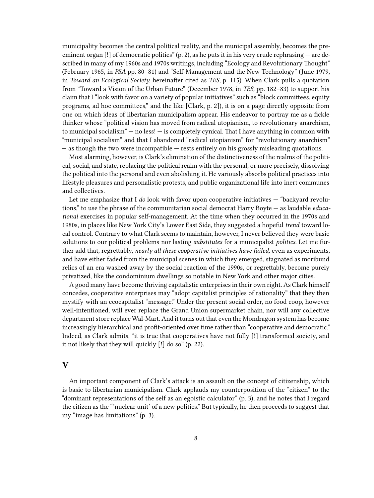municipality becomes the central political reality, and the municipal assembly, becomes the preeminent organ [!] of democratic politics" (p. 2), as he puts it in his very crude rephrasing  $-$  are described in many of my 1960s and 1970s writings, including "Ecology and Revolutionary Thought" (February 1965, in *PSA* pp. 80–81) and "Self-Management and the New Technology" (June 1979, in *Toward an Ecological Society,* hereinafter cited as *TES*, p. 115). When Clark pulls a quotation from "Toward a Vision of the Urban Future" (December 1978, in *TES,* pp. 182–83) to support his claim that I "look with favor on a variety of popular initiatives" such as "block committees, equity programs, ad hoc committees," and the like [Clark, p. 2]), it is on a page directly opposite from one on which ideas of libertarian municipalism appear. His endeavor to portray me as a fickle thinker whose "political vision has moved from radical utopianism, to revolutionary anarchism, to municipal socialism" — no less! — is completely cynical. That I have anything in common with "municipal socialism" and that I abandoned "radical utopianism" for "revolutionary anarchism" — as though the two were incompatible — rests entirely on his grossly misleading quotations.

Most alarming, however, is Clark's elimination of the distinctiveness of the realms of the political, social, and state, replacing the political realm with the personal, or more precisely, dissolving the political into the personal and even abolishing it. He variously absorbs political practices into lifestyle pleasures and personalistic protests, and public organizational life into inert communes and collectives.

Let me emphasize that I *do* look with favor upon cooperative initiatives — "backyard revolutions," to use the phrase of the communitarian social democrat Harry Boyte — as laudable *educational* exercises in popular self-management. At the time when they occurred in the 1970s and 1980s, in places like New York City's Lower East Side, they suggested a hopeful *trend* toward local control. Contrary to what Clark seems to maintain, however, I never believed they were basic solutions to our political problems nor lasting *substitutes* for a municipalist *politics.* Let me further add that, regrettably, *nearly all these cooperative initiatives have failed,* even as experiments, and have either faded from the municipal scenes in which they emerged, stagnated as moribund relics of an era washed away by the social reaction of the 1990s, or regrettably, become purely privatized, like the condominium dwellings so notable in New York and other major cities.

A good many have become thriving capitalistic enterprises in their own right. As Clark himself concedes, cooperative enterprises may "adopt capitalist principles of rationality" that they then mystify with an ecocapitalist "message." Under the present social order, no food coop, however well-intentioned, will ever replace the Grand Union supermarket chain, nor will any collective department store replace Wal-Mart. And it turns out that even the Mondragon system has become increasingly hierarchical and profit-oriented over time rather than "cooperative and democratic." Indeed, as Clark admits, "it is true that cooperatives have not fully [!] transformed society, and it not likely that they will quickly [!] do so" (p. 22).

#### <span id="page-7-0"></span>**V**

An important component of Clark's attack is an assault on the concept of citizenship, which is basic to libertarian municipalism. Clark applauds my counterposition of the "citizen" to the "dominant representations of the self as an egoistic calculator" (p. 3), and he notes that I regard the citizen as the "'nuclear unit' of a new politics." But typically, he then proceeds to suggest that my "image has limitations" (p. 3).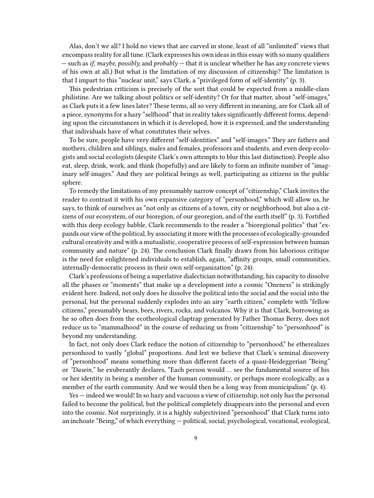Alas, don't we all? I hold no views that are carved in stone, least of all "unlimited" views that encompass reality for all time. (Clark expresses his own ideas in this essay with so many qualifiers — such as *if, maybe, possibly,* and *probably* — that it is unclear whether he has *any* concrete views of his own at all.) But what is the limitation of my discussion of citizenship? The limitation is that I impart to this "nuclear unit," says Clark, a "privileged form of self-identity" (p. 3).

This pedestrian criticism is precisely of the sort that could be expected from a middle-class philistine. Are we talking about politics or self-identity? Or for that matter, about "self-images," as Clark puts it a few lines later? These terms, all so very different in meaning, are for Clark all of a piece, synonyms for a hazy "selfhood" that in reality takes significantly different forms, depending upon the circumstances in which it is developed, how it is expressed, and the understanding that individuals have of what constitutes their selves.

To be sure, people have very different "self-identities" and "self-images." They are fathers and mothers, children and siblings, males and females, professors and students, and even deep ecologists and social ecologists (despite Clark's own attempts to blur this last distinction). People also eat, sleep, drink, work, and think (hopefully) and are likely to form an infinite number of "imaginary self-images." And they are political beings as well, participating as citizens in the public sphere.

To remedy the limitations of my presumably narrow concept of "citizenship," Clark invites the reader to contrast it with his own expansive category of "personhood," which will allow us, he says, to think of ourselves as "not only as citizens of a town, city or neighborhood, but also a citizens of our ecosystem, of our bioregion, of our georegion, and of the earth itself" (p. 3). Fortified with this deep ecology babble, Clark recommends to the reader a "bioregional politics" that "expands our view of the political, by associating it more with the processes of ecologically-grounded cultural creativity and with a mutualistic, cooperative process of self-expression between human community and nature" (p. 24). The conclusion Clark finally draws from his laborious critique is the need for enlightened individuals to establish, again, "affinity groups, small communities, internally-democratic process in their own self-organization" (p. 24).

Clark's professions of being a superlative dialectician notwithstanding, his capacity to dissolve all the phases or "moments" that make up a development into a cosmic "Oneness" is strikingly evident here. Indeed, not only does he dissolve the political into the social and the social into the personal, but the personal suddenly explodes into an airy "earth citizen," complete with "fellow citizens," presumably bears, bees, rivers, rocks, and volcanos. Why it is that Clark, borrowing as he so often does from the ecotheological claptrap generated by Father Thomas Berry, does not reduce us to "mammalhood" in the course of reducing us from "citizenship" to "personhood" is beyond my understanding.

In fact, not only does Clark reduce the notion of citizenship to "personhood," he etherealizes personhood to vastly "global" proportions. And lest we believe that Clark's seminal discovery of "personhood" means something more than different facets of a quasi-Heideggerian "Being" or *"Dasein,"* he exuberantly declares, "Each person would … see the fundamental source of his or her identity in being a member of the human community, or perhaps more ecologically, as a member of the earth community. And we would then be a long way from municipalism" (p. 4).

Yes — indeed we would! In so hazy and vacuous a view of citizenship, not only has the personal failed to become the political, but the political completely disappears into the personal and even into the cosmic. Not surprisingly, it is a highly subjectivized "personhood" that Clark turns into an inchoate "Being," of which everything — political, social, psychological, vocational, ecological,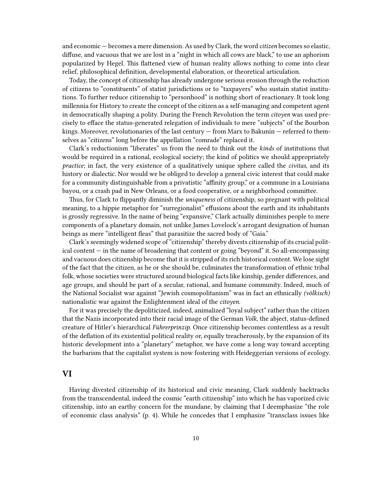and economic — becomes a mere dimension. As used by Clark, the word *citizen* becomes so elastic, diffuse, and vacuous that we are lost in a "night in which all cows are black," to use an aphorism popularized by Hegel. This flattened view of human reality allows nothing to come into clear relief, philosophical definition, developmental elaboration, or theoretical articulation.

Today, the concept of citizenship has already undergone serious erosion through the reduction of citizens to "constituents" of statist jurisdictions or to "taxpayers" who sustain statist institutions. To further reduce citizenship to "personhood" is nothing short of reactionary. It took long millennia for History to create the concept of the citizen as a self-managing and competent agent in democratically shaping a polity. During the French Revolution the term *citoyen* was used precisely to efface the status-generated relegation of individuals to mere "subjects" of the Bourbon kings. Moreover, revolutionaries of the last century — from Marx to Bakunin — referred to themselves as "citizens" long before the appellation "comrade" replaced it.

Clark's reductionism "liberates" us from the need to think out the *kinds* of institutions that would be required in a rational, ecological society; the kind of politics we should appropriately *practice*; in fact, the very existence of a qualitatively unique sphere called the *civitas,* and its history or dialectic. Nor would we be obliged to develop a general civic interest that could make for a community distinguishable from a privatistic "affinity group," or a commune in a Louisiana bayou, or a crash pad in New Orleans, or a food cooperative, or a neighborhood committee.

Thus, for Clark to flippantly diminish the *uniqueness* of citizenship, so pregnant with political meaning, to a hippie metaphor for "surregionalist" effusions about the earth and its inhabitants is grossly regressive. In the name of being "expansive," Clark actually diminishes people to mere components of a planetary domain, not unlike James Lovelock's arrogant designation of human beings as mere "intelligent fleas" that parasitize the sacred body of "Gaia."

Clark's seemingly widened scope of "citizenship" thereby divests citizenship of its crucial political content — in the name of broadening that content or going "beyond" it. So all-encompassing and vacuous does citizenship become that it is stripped of its rich historical content. We lose sight of the fact that the citizen, as he or she should be, culminates the transformation of ethnic tribal folk, whose societies were structured around biological facts like kinship, gender differences, and age groups, and should be part of a secular, rational, and humane community. Indeed, much of the National Socialist war against "Jewish cosmopolitanism" was in fact an ethnically *(völkisch)* nationalistic war against the Enlightenment ideal of the *citoyen*.

For it was precisely the depoliticized, indeed, animalized "loyal subject" rather than the citizen that the Nazis incorporated into their racial image of the German *Volk,* the abject, status-defined creature of Hitler's hierarchical *Führerprinzip.* Once citizenship becomes contentless as a result of the deflation of its existential political reality or, equally treacherously, by the expansion of its historic development into a "planetary" metaphor, we have come a long way toward accepting the barbarism that the capitalist system is now fostering with Heideggerian versions of ecology.

#### <span id="page-9-0"></span>**VI**

Having divested citizenship of its historical and civic meaning, Clark suddenly backtracks from the transcendental, indeed the cosmic "earth citizenship" into which he has vaporized civic citizenship, into an earthy concern for the mundane, by claiming that I deemphasize "the role of economic class analysis" (p. 4). While he concedes that I emphasize "transclass issues like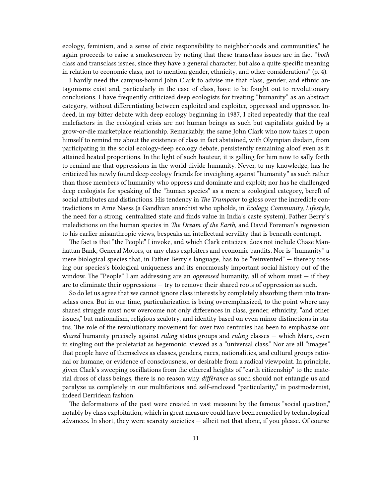ecology, feminism, and a sense of civic responsibility to neighborhoods and communities," he again proceeds to raise a smokescreen by noting that these transclass issues are in fact "*both* class and transclass issues, since they have a general character, but also a quite specific meaning in relation to economic class, not to mention gender, ethnicity, and other considerations" (p. 4).

I hardly need the campus-bound John Clark to advise me that class, gender, and ethnic antagonisms exist and, particularly in the case of class, have to be fought out to revolutionary conclusions. I have frequently criticized deep ecologists for treating "humanity" as an abstract category, without differentiating between exploited and exploiter, oppressed and oppressor. Indeed, in my bitter debate with deep ecology beginning in 1987, I cited repeatedly that the real malefactors in the ecological crisis are not human beings as such but capitalists guided by a grow-or-die marketplace relationship. Remarkably, the same John Clark who now takes it upon himself to remind me about the existence of class in fact abstained, with Olympian disdain, from participating in the social ecology-deep ecology debate, persistently remaining aloof even as it attained heated proportions. In the light of such hauteur, it is galling for him now to sally forth to remind me that oppressions in the world divide humanity. Never, to my knowledge, has he criticized his newly found deep ecology friends for inveighing against "humanity" as such rather than those members of humanity who oppress and dominate and exploit; nor has he challenged deep ecologists for speaking of the "human species" as a mere a zoological category, bereft of social attributes and distinctions. His tendency in *The Trumpeter* to gloss over the incredible contradictions in Arne Naess (a Gandhian anarchist who upholds, in *Ecology, Community, Lifestyle,* the need for a strong, centralized state and finds value in India's caste system), Father Berry's maledictions on the human species in *The Dream of the Earth,* and David Foreman's regression to his earlier misanthropic views, bespeaks an intellectual servility that is beneath contempt.

The fact is that "the People" I invoke, and which Clark criticizes, does not include Chase Manhattan Bank, General Motors, or any class exploiters and economic bandits. Nor is "humanity" a mere biological species that, in Father Berry's language, has to be "reinvented" — thereby tossing our species's biological uniqueness and its enormously important social history out of the window. The "People" I am addressing are an *oppressed* humanity, all of whom must — if they are to eliminate their oppressions — try to remove their shared roots of oppression as such.

So do let us agree that we cannot ignore class interests by completely absorbing them into transclass ones. But in our time, particularization is being overemphasized, to the point where any shared struggle must now overcome not only differences in class, gender, ethnicity, "and other issues," but nationalism, religious zealotry, and identity based on even minor distinctions in status. The role of the revolutionary movement for over two centuries has been to emphasize our *shared* humanity precisely against *ruling* status groups and *ruling* classes — which Marx, even in singling out the proletariat as hegemonic, viewed as a "universal class." Nor are all "images" that people have of themselves as classes, genders, races, nationalities, and cultural groups rational or humane, or evidence of consciousness, or desirable from a radical viewpoint. In principle, given Clark's sweeping oscillations from the ethereal heights of "earth citizenship" to the material dross of class beings, there is no reason why *différance* as such should not entangle us and paralyze us completely in our multifarious and self-enclosed "particularity," in postmodernist, indeed Derridean fashion.

The deformations of the past were created in vast measure by the famous "social question," notably by class exploitation, which in great measure could have been remedied by technological advances. In short, they were scarcity societies — albeit not that alone, if you please. Of course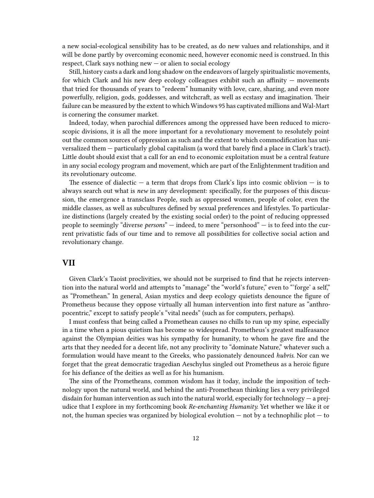a new social-ecological sensibility has to be created, as do new values and relationships, and it will be done partly by overcoming economic need, however economic need is construed. In this respect, Clark says nothing new  $-$  or alien to social ecology

Still, history casts a dark and long shadow on the endeavors of largely spiritualistic movements, for which Clark and his new deep ecology colleagues exhibit such an affinity — movements that tried for thousands of years to "redeem" humanity with love, care, sharing, and even more powerfully, religion, gods, goddesses, and witchcraft, as well as ecstasy and imagination. Their failure can be measured by the extent to which Windows 95 has captivated millions and Wal-Mart is cornering the consumer market.

Indeed, today, when parochial differences among the oppressed have been reduced to microscopic divisions, it is all the more important for a revolutionary movement to resolutely point out the common sources of oppression as such and the extent to which commodification has universalized them — particularly global capitalism (a word that barely find a place in Clark's tract). Little doubt should exist that a call for an end to economic exploitation must be a central feature in any social ecology program and movement, which are part of the Enlightenment tradition and its revolutionary outcome.

The essence of dialectic  $-$  a term that drops from Clark's lips into cosmic oblivion  $-$  is to always search out what is *new* in any development: specifically, for the purposes of this discussion, the emergence a transclass People, such as oppressed women, people of color, even the middle classes, as well as subcultures defined by sexual preferences and lifestyles. To particularize distinctions (largely created by the existing social order) to the point of reducing oppressed people to seemingly "diverse *persons*" — indeed, to mere "personhood" — is to feed into the current privatistic fads of our time and to remove all possibilities for collective social action and revolutionary change.

## <span id="page-11-0"></span>**VII**

Given Clark's Taoist proclivities, we should not be surprised to find that he rejects intervention into the natural world and attempts to "manage" the "world's future," even to "'forge' a self," as "Promethean." In general, Asian mystics and deep ecology quietists denounce the figure of Prometheus because they oppose virtually all human intervention into first nature as "anthropocentric," except to satisfy people's "vital needs" (such as for computers, perhaps).

I must confess that being called a Promethean causes no chills to run up my spine, especially in a time when a pious quietism has become so widespread. Prometheus's greatest malfeasance against the Olympian deities was his sympathy for humanity, to whom he gave fire and the arts that they needed for a decent life, not any proclivity to "dominate Nature," whatever such a formulation would have meant to the Greeks, who passionately denounced *hubris*. Nor can we forget that the great democratic tragedian Aeschylus singled out Prometheus as a heroic figure for his defiance of the deities as well as for his humanism.

The sins of the Prometheans, common wisdom has it today, include the imposition of technology upon the natural world, and behind the anti-Promethean thinking lies a very privileged disdain for human intervention as such into the natural world, especially for technology  $-$  a prejudice that I explore in my forthcoming book *Re-enchanting Humanity.* Yet whether we like it or not, the human species was organized by biological evolution  $-$  not by a technophilic plot  $-$  to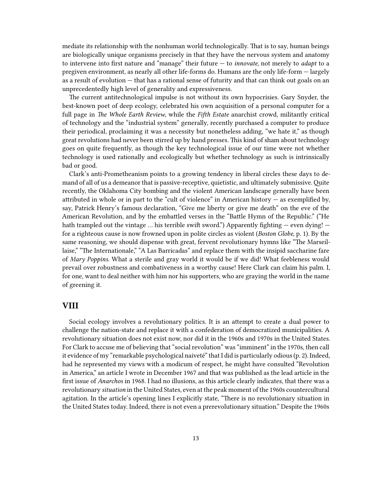mediate its relationship with the nonhuman world technologically. That is to say, human beings are biologically unique organisms precisely in that they have the nervous system and anatomy to intervene into first nature and "manage" their future — to *innovate,* not merely to *adapt* to a pregiven environment, as nearly all other life-forms do. Humans are the only life-form — largely as a result of evolution — that has a rational sense of futurity and that can think out goals on an unprecedentedly high level of generality and expressiveness.

The current antitechnological impulse is not without its own hypocrisies. Gary Snyder, the best-known poet of deep ecology, celebrated his own acquisition of a personal computer for a full page in *The Whole Earth Review*, while the *Fifth Estate* anarchist crowd, militantly critical of technology and the "industrial system" generally, recently purchased a computer to produce their periodical, proclaiming it was a necessity but nonetheless adding, "we hate it," as though great revolutions had never been stirred up by hand presses. This kind of sham about technology goes on quite frequently, as though the key technological issue of our time were not whether technology is used rationally and ecologically but whether technology as such is intrinsically bad or good.

Clark's anti-Prometheanism points to a growing tendency in liberal circles these days to demand of all of us a demeanor that is passive-receptive, quietistic, and ultimately submissive.Quite recently, the Oklahoma City bombing and the violent American landscape generally have been attributed in whole or in part to the "cult of violence" in American history  $-$  as exemplified by, say, Patrick Henry's famous declaration, "Give me liberty or give me death" on the eve of the American Revolution, and by the embattled verses in the "Battle Hymn of the Republic." ("He hath trampled out the vintage ... his terrible swift sword.") Apparently fighting — even dying! for a righteous cause is now frowned upon in polite circles as violent (*Boston Globe,* p. 1). By the same reasoning, we should dispense with great, fervent revolutionary hymns like "The Marseillaise," "The Internationale," "A Las Barricadas" and replace them with the insipid saccharine fare of *Mary Poppins*. What a sterile and gray world it would be if we did! What feebleness would prevail over robustness and combativeness in a worthy cause! Here Clark can claim his palm. I, for one, want to deal neither with him nor his supporters, who are graying the world in the name of greening it.

#### <span id="page-12-0"></span>**VIII**

Social ecology involves a revolutionary politics. It is an attempt to create a dual power to challenge the nation-state and replace it with a confederation of democratized municipalities. A revolutionary situation does not exist now, nor did it in the 1960s and 1970s in the United States. For Clark to accuse me of believing that "social revolution" was "imminent" in the 1970s, then call it evidence of my "remarkable psychological naiveté" that I did is particularly odious (p. 2). Indeed, had he represented my views with a modicum of respect, he might have consulted "Revolution in America," an article I wrote in December 1967 and that was published as the lead article in the first issue of *Anarchos* in 1968. I had no illusions, as this article clearly indicates, that there was a revolutionary *situation* in the United States, even at the peak moment of the 1960s countercultural agitation. In the article's opening lines I explicitly state, "There is no revolutionary situation in the United States today. Indeed, there is not even a prerevolutionary situation." Despite the 1960s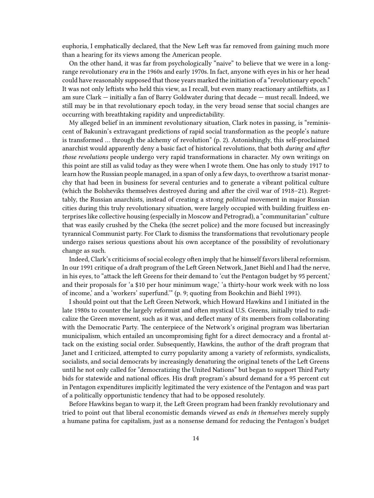euphoria, I emphatically declared, that the New Left was far removed from gaining much more than a hearing for its views among the American people.

On the other hand, it was far from psychologically "naive" to believe that we were in a longrange revolutionary *era* in the 1960s and early 1970s. In fact, anyone with eyes in his or her head could have reasonably supposed that those years marked the initiation of a "revolutionary epoch." It was not only leftists who held this view, as I recall, but even many reactionary antileftists, as I am sure Clark — initially a fan of Barry Goldwater during that decade — must recall. Indeed, we still may be in that revolutionary epoch today, in the very broad sense that social changes are occurring with breathtaking rapidity and unpredictability.

My alleged belief in an imminent revolutionary situation, Clark notes in passing, is "reminiscent of Bakunin's extravagant predictions of rapid social transformation as the people's nature is transformed … through the alchemy of revolution" (p. 2). Astonishingly, this self-proclaimed anarchist would apparently deny a basic fact of historical revolutions, that both *during and after those revolutions* people undergo very rapid transformations in character. My own writings on this point are still as valid today as they were when I wrote them. One has only to study 1917 to learn how the Russian people managed, in a span of only a few days, to overthrow a tsarist monarchy that had been in business for several centuries and to generate a vibrant political culture (which the Bolsheviks themselves destroyed during and after the civil war of 1918–21). Regrettably, the Russian anarchists, instead of creating a strong *political* movement in major Russian cities during this truly revolutionary situation, were largely occupied with building fruitless enterprises like collective housing (especially in Moscow and Petrograd), a "communitarian" culture that was easily crushed by the Cheka (the secret police) and the more focused but increasingly tyrannical Communist party. For Clark to dismiss the transformations that revolutionary people undergo raises serious questions about his own acceptance of the possibility of revolutionary change as such.

Indeed, Clark's criticisms of social ecology often imply that he himself favors liberal reformism. In our 1991 critique of a draft program of the Left Green Network, Janet Biehl and I had the nerve, in his eyes, to "attack the left Greens for their demand to 'cut the Pentagon budget by 95 percent,' and their proposals for 'a \$10 per hour minimum wage,' 'a thirty-hour work week with no loss of income,' and a 'workers' superfund.'" (p. 9; quoting from Bookchin and Biehl 1991).

I should point out that the Left Green Network, which Howard Hawkins and I initiated in the late 1980s to counter the largely reformist and often mystical U.S. Greens, initially tried to radicalize the Green movement, such as it was, and deflect many of its members from collaborating with the Democratic Party. The centerpiece of the Network's original program was libertarian municipalism, which entailed an uncompromising fight for a direct democracy and a frontal attack on the existing social order. Subsequently, Hawkins, the author of the draft program that Janet and I criticized, attempted to curry popularity among a variety of reformists, syndicalists, socialists, and social democrats by increasingly denaturing the original tenets of the Left Greens until he not only called for "democratizing the United Nations" but began to support Third Party bids for statewide and national offices. His draft program's absurd demand for a 95 percent cut in Pentagon expenditures implicitly legitimated the very existence of the Pentagon and was part of a politically opportunistic tendency that had to be opposed resolutely.

Before Hawkins began to warp it, the Left Green program had been frankly revolutionary and tried to point out that liberal economistic demands *viewed as ends in themselves* merely supply a humane patina for capitalism, just as a nonsense demand for reducing the Pentagon's budget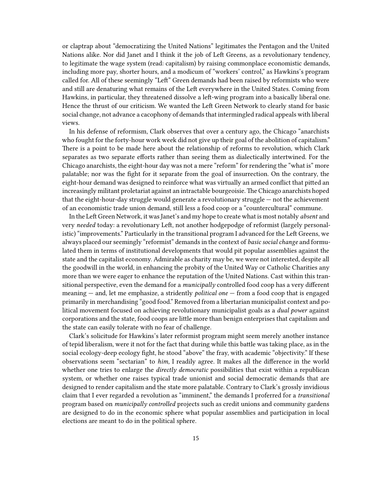or claptrap about "democratizing the United Nations" legitimates the Pentagon and the United Nations alike. Nor did Janet and I think it the job of Left Greens, as a revolutionary tendency, to legitimate the wage system (read: capitalism) by raising commonplace economistic demands, including more pay, shorter hours, and a modicum of "workers' control," as Hawkins's program called for. All of these seemingly "Left" Green demands had been raised by reformists who were and still are denaturing what remains of the Left everywhere in the United States. Coming from Hawkins, in particular, they threatened dissolve a left-wing program into a basically liberal one. Hence the thrust of our criticism. We wanted the Left Green Network to clearly stand for basic social change, not advance a cacophony of demands that intermingled radical appeals with liberal views.

In his defense of reformism, Clark observes that over a century ago, the Chicago "anarchists who fought for the forty-hour work week did not give up their goal of the abolition of capitalism." There is a point to be made here about the relationship of reforms to revolution, which Clark separates as two separate efforts rather than seeing them as dialectically intertwined. For the Chicago anarchists, the eight-hour day was not a mere "reform" for rendering the "what is" more palatable; nor was the fight for it separate from the goal of insurrection. On the contrary, the eight-hour demand was designed to reinforce what was virtually an armed conflict that pitted an increasingly militant proletariat against an intractable bourgeoisie.The Chicago anarchists hoped that the eight-hour-day struggle would generate a revolutionary struggle — not the achievement of an economistic trade union demand, still less a food coop or a "countercultural" commune.

In the Left Green Network, it was Janet's and my hope to create what is most notably *absent* and very *needed* today: a revolutionary Left, not another hodgepodge of reformist (largely personalistic) "improvements." Particularly in the transitional program I advanced for the Left Greens, we always placed our seemingly "reformist" demands in the context of *basic social change* and formulated them in terms of institutional developments that would pit popular assemblies against the state and the capitalist economy. Admirable as charity may be, we were not interested, despite all the goodwill in the world, in enhancing the probity of the United Way or Catholic Charities any more than we were eager to enhance the reputation of the United Nations. Cast within this transitional perspective, even the demand for a *municipally* controlled food coop has a very different meaning — and, let me emphasize, a stridently *political one* — from a food coop that is engaged primarily in merchandising "good food." Removed from a libertarian municipalist context and political movement focused on achieving revolutionary municipalist goals as a *dual power* against corporations and the state, food coops are little more than benign enterprises that capitalism and the state can easily tolerate with no fear of challenge.

Clark's solicitude for Hawkins's later reformist program might seem merely another instance of tepid liberalism, were it not for the fact that during while this battle was taking place, as in the social ecology-deep ecology fight, he stood "above" the fray, with academic "objectivity." If these observations seem "sectarian" to *him,* I readily agree. It makes all the difference in the world whether one tries to enlarge the *directly democratic* possibilities that exist within a republican system, or whether one raises typical trade unionist and social democratic demands that are designed to render capitalism and the state more palatable. Contrary to Clark's grossly invidious claim that I ever regarded a revolution as "imminent," the demands I proferred for a *transitional* program based on *municipally controlled* projects such as credit unions and community gardens are designed to do in the economic sphere what popular assemblies and participation in local elections are meant to do in the political sphere.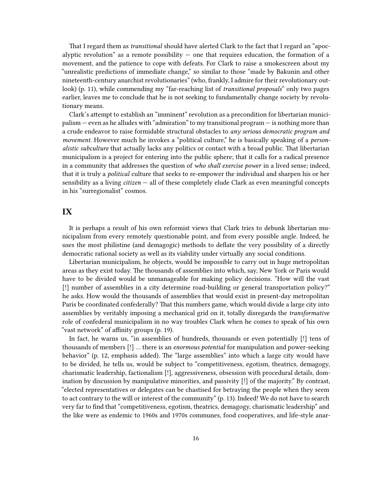That I regard them as *transitional* should have alerted Clark to the fact that I regard an "apocalyptic revolution" as a remote possibility  $-$  one that requires education, the formation of a movement, and the patience to cope with defeats. For Clark to raise a smokescreen about my "unrealistic predictions of immediate change," so similar to those "made by Bakunin and other nineteenth-century anarchist revolutionaries" (who, frankly, I admire for their revolutionary outlook) (p. 11), while commending my "far-reaching list of *transitional proposals*" only two pages earlier, leaves me to conclude that he is not seeking to fundamentally change society by revolutionary means.

Clark's attempt to establish an "imminent" revolution as a precondition for libertarian municipalism — even as he alludes with "admiration" to my transitional program — is nothing more than a crude endeavor to raise formidable structural obstacles to *any serious democratic program and movement.* However much he invokes a "political culture," he is basically speaking of a *personalistic subculture* that actually lacks any politics or contact with a broad public. That libertarian municipalism is a project for entering into the public sphere; that it calls for a radical presence in a community that addresses the question of *who shall exercise power* in a lived sense; indeed, that it is truly a *political* culture that seeks to re-empower the individual and sharpen his or her sensibility as a living *citizen* — all of these completely elude Clark as even meaningful concepts in his "surregionalist" cosmos.

### <span id="page-15-0"></span>**IX**

It is perhaps a result of his own reformist views that Clark tries to debunk libertarian municipalism from every remotely questionable point, and from every possible angle. Indeed, he uses the most philistine (and demagogic) methods to deflate the very possibility of a directly democratic rational society as well as its viability under virtually any social conditions.

Libertarian municipalism, he objects, would be impossible to carry out in huge metropolitan areas as they exist today. The thousands of assemblies into which, say, New York or Paris would have to be divided would be unmanageable for making policy decisions. "How will the vast [!] number of assemblies in a city determine road-building or general transportation policy?" he asks. How would the thousands of assemblies that would exist in present-day metropolitan Paris be coordinated confederally? That this numbers game, which would divide a large city into assemblies by veritably imposing a mechanical grid on it, totally disregards the *transformative* role of confederal municipalism in no way troubles Clark when he comes to speak of his own "vast network" of affinity groups (p. 19).

In fact, he warns us, "in assemblies of hundreds, thousands or even potentially [!] tens of thousands of members [!] … there is an *enormous potential* for manipulation and power-seeking behavior" (p. 12, emphasis added). The "large assemblies" into which a large city would have to be divided, he tells us, would be subject to "competitiveness, egotism, theatrics, demagogy, charismatic leadership, factionalism [!], aggressiveness, obsession with procedural details, domination by discussion by manipulative minorities, and passivity [!] of the majority." By contrast, "elected representatives or delegates can be chastised for betraying the people when they seem to act contrary to the will or interest of the community" (p. 13). Indeed! We do not have to search very far to find that "competitiveness, egotism, theatrics, demagogy, charismatic leadership" and the like were as endemic to 1960s and 1970s communes, food cooperatives, and life-style anar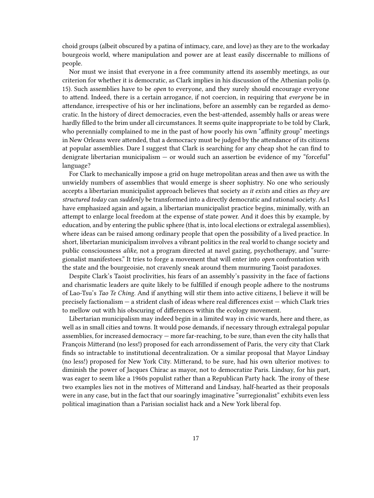choid groups (albeit obscured by a patina of intimacy, care, and love) as they are to the workaday bourgeois world, where manipulation and power are at least easily discernable to millions of people.

Nor must we insist that everyone in a free community attend its assembly meetings, as our criterion for whether it is democratic, as Clark implies in his discussion of the Athenian polis (p. 15). Such assemblies have to be *open* to everyone, and they surely should encourage everyone to attend. Indeed, there is a certain arrogance, if not coercion, in requiring that *everyone* be in attendance, irrespective of his or her inclinations, before an assembly can be regarded as democratic. In the history of direct democracies, even the best-attended, assembly halls or areas were hardly filled to the brim under all circumstances. It seems quite inappropriate to be told by Clark, who perennially complained to me in the past of how poorly his own "affinity group" meetings in New Orleans were attended, that a democracy must be judged by the attendance of its citizens at popular assemblies. Dare I suggest that Clark is searching for any cheap shot he can find to denigrate libertarian municipalism — or would such an assertion be evidence of my "forceful" language?

For Clark to mechanically impose a grid on huge metropolitan areas and then awe us with the unwieldy numbers of assemblies that would emerge is sheer sophistry. No one who seriously accepts a libertarian municipalist approach believes that society *as it exists* and cities *as they are structured today* can *suddenly* be transformed into a directly democratic and rational society. As I have emphasized again and again, a libertarian municipalist practice begins, minimally, with an attempt to enlarge local freedom at the expense of state power. And it does this by example, by education, and by entering the public sphere (that is, into local elections or extralegal assemblies), where ideas can be raised among ordinary people that open the possibility of a lived practice. In short, libertarian municipalism involves a vibrant politics in the real world to change society and public consciousness *alike,* not a program directed at navel gazing, psychotherapy, and "surregionalist manifestoes." It tries to forge a movement that will enter into *open* confrontation with the state and the bourgeoisie, not cravenly sneak around them murmuring Taoist paradoxes.

Despite Clark's Taoist proclivities, his fears of an assembly's passivity in the face of factions and charismatic leaders are quite likely to be fulfilled if enough people adhere to the nostrums of Lao-Tsu's *Tao Te Ching.* And if anything will stir them into active citizens, I believe it will be precisely factionalism — a strident clash of ideas where real differences exist — which Clark tries to mellow out with his obscuring of differences within the ecology movement.

Libertarian municipalism may indeed begin in a limited way in civic wards, here and there, as well as in small cities and towns. It would pose demands, if necessary through extralegal popular assemblies, for increased democracy — more far-reaching, to be sure, than even the city halls that François Mitterand (no less!) proposed for each arrondissement of Paris, the very city that Clark finds so intractable to institutional decentralization. Or a similar proposal that Mayor Lindsay (no less!) proposed for New York City. Mitterand, to be sure, had his own ulterior motives: to diminish the power of Jacques Chirac as mayor, not to democratize Paris. Lindsay, for his part, was eager to seem like a 1960s populist rather than a Republican Party hack. The irony of these two examples lies not in the motives of Mitterand and Lindsay, half-hearted as their proposals were in any case, but in the fact that our soaringly imaginative "surregionalist" exhibits even less political imagination than a Parisian socialist hack and a New York liberal fop.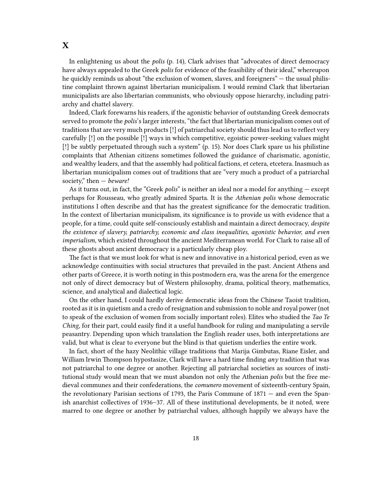In enlightening us about the *polis* (p. 14), Clark advises that "advocates of direct democracy have always appealed to the Greek *polis* for evidence of the feasibility of their ideal," whereupon he quickly reminds us about "the exclusion of women, slaves, and foreigners" — the usual philistine complaint thrown against libertarian municipalism. I would remind Clark that libertarian municipalists are also libertarian communists, who obviously oppose hierarchy, including patriarchy and chattel slavery.

Indeed, Clark forewarns his readers, if the agonistic behavior of outstanding Greek democrats served to promote the *polis*'s larger interests, "the fact that libertarian municipalism comes out of traditions that are very much products [!] of patriarchal society should thus lead us to reflect very carefully [!] on the possible [!] ways in which competitive, egoistic power-seeking values might [!] be subtly perpetuated through such a system" (p. 15). Nor does Clark spare us his philistine complaints that Athenian citizens sometimes followed the guidance of charismatic, agonistic, and wealthy leaders, and that the assembly had political factions, et cetera, etcetera. Inasmuch as libertarian municipalism comes out of traditions that are "very much a product of a patriarchal society," then — *beware!*

As it turns out, in fact, the "Greek *polis*" is neither an ideal nor a model for anything — except perhaps for Rousseau, who greatly admired Sparta. It is the *Athenian polis* whose democratic institutions I often describe and that has the greatest significance for the democratic tradition. In the context of libertarian municipalism, its significance is to provide us with evidence that a people, for a time, could quite self-consciously establish and maintain a direct democracy, *despite the existence of slavery, patriarchy, economic and class inequalities, agonistic behavior, and even imperialism,* which existed throughout the ancient Mediterranean world. For Clark to raise all of these ghosts about ancient democracy is a particularly cheap ploy.

The fact is that we must look for what is new and innovative in a historical period, even as we acknowledge continuities with social structures that prevailed in the past. Ancient Athens and other parts of Greece, it is worth noting in this postmodern era, was the arena for the emergence not only of direct democracy but of Western philosophy, drama, political theory, mathematics, science, and analytical and dialectical logic.

On the other hand, I could hardly derive democratic ideas from the Chinese Taoist tradition, rooted as it is in quietism and a credo of resignation and submission to noble and royal power (not to speak of the exclusion of women from socially important roles). Elites who studied the *Tao Te Ching,* for their part, could easily find it a useful handbook for ruling and manipulating a servile peasantry. Depending upon which translation the English reader uses, both interpretations are valid, but what is clear to everyone but the blind is that quietism underlies the entire work.

In fact, short of the hazy Neolithic village traditions that Marija Gimbutas, Riane Eisler, and William Irwin Thompson hypostasize, Clark will have a hard time finding *any* tradition that was not patriarchal to one degree or another. Rejecting all patriarchal societies as sources of institutional study would mean that we must abandon not only the Athenian *polis* but the free medieval communes and their confederations, the *comunero* movement of sixteenth-century Spain, the revolutionary Parisian sections of 1793, the Paris Commune of 1871 — and even the Spanish anarchist collectives of 1936–37. All of these institutional developments, be it noted, were marred to one degree or another by patriarchal values, although happily we always have the

## <span id="page-17-0"></span>**X**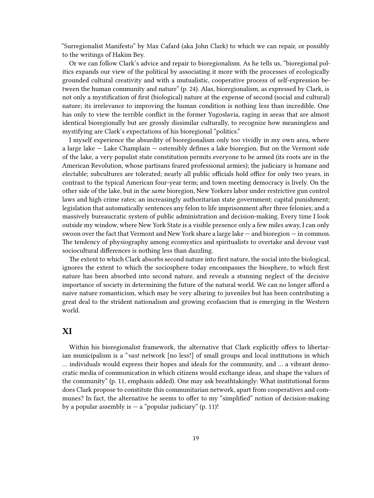"Surregionalist Manifesto" by Max Cafard (aka John Clark) to which we can repair, or possibly to the writings of Hakim Bey.

Or we can follow Clark's advice and repair to bioregionalism. As he tells us, "bioregional politics expands our view of the political by associating it more with the processes of ecologically grounded cultural creativity and with a mutualistic, cooperative process of self-expression between the human community and nature" (p. 24). Alas, bioregionalism, as expressed by Clark, is not only a mystification of first (biological) nature at the expense of second (social and cultural) nature; its irrelevance to improving the human condition is nothing less than incredible. One has only to view the terrible conflict in the former Yugoslavia, raging in areas that are almost identical bioregionally but are grossly dissimilar culturally, to recognize how meaningless and mystifying are Clark's expectations of his bioregional "politics."

I myself experience the absurdity of bioregionalism only too vividly in my own area, where a large lake — Lake Champlain — ostensibly defines a lake bioregion. But on the Vermont side of the lake, a very populist state constitution permits everyone to be armed (its roots are in the American Revolution, whose partisans feared professional armies); the judiciary is humane and electable; subcultures are tolerated; nearly all public officials hold office for only two years, in contrast to the typical American four-year term; and town meeting democracy is lively. On the other side of the lake, but in the *same* bioregion, New Yorkers labor under restrictive gun control laws and high crime rates; an increasingly authoritarian state government; capital punishment; legislation that automatically sentences any felon to life imprisonment after three felonies; and a massively bureaucratic system of public administration and decision-making. Every time I look outside my window, where New York State is a visible presence only a few miles away, I can only swoon over the fact that Vermont and New York share a large lake — and bioregion — in common. The tendency of physiography among ecomystics and spiritualists to overtake and devour vast sociocultural differences is nothing less than dazzling.

The extent to which Clark absorbs second nature into first nature, the social into the biological, ignores the extent to which the sociosphere today encompasses the biosphere, to which first nature has been absorbed into second nature, and reveals a stunning neglect of the decisive importance of society in determining the future of the natural world. We can no longer afford a naive nature romanticism, which may be very alluring to juveniles but has been contributing a great deal to the strident nationalism and growing ecofascism that is emerging in the Western world.

### <span id="page-18-0"></span>**XI**

Within his bioregionalist framework, the alternative that Clark explicitly offers to libertarian municipalism is a "*vast* network [no less!] of small groups and local institutions in which … individuals would express their hopes and ideals for the community, and … a vibrant democratic media of communication in which citizens would exchange ideas, and shape the values of the community" (p. 11, emphasis added). One may ask breathtakingly: What institutional forms does Clark propose to constitute this communitarian network, apart from cooperatives and communes? In fact, the alternative he seems to offer to my "simplified" notion of decision-making by a popular assembly is  $-$  a "popular judiciary" (p. 11)!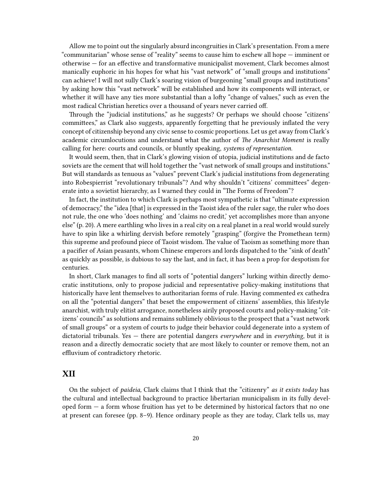Allow me to point out the singularly absurd incongruities in Clark's presentation. From a mere "communitarian" whose sense of "reality" seems to cause him to eschew all hope — imminent or otherwise — for an effective and transformative municipalist movement, Clark becomes almost manically euphoric in his hopes for what his "vast network" of "small groups and institutions" can achieve! I will not sully Clark's soaring vision of burgeoning "small groups and institutions" by asking how this "vast network" will be established and how its components will interact, or whether it will have any ties more substantial than a lofty "change of values," such as even the most radical Christian heretics over a thousand of years never carried off.

Through the "judicial institutions," as he suggests? Or perhaps we should choose "citizens' committees," as Clark also suggests, apparently forgetting that he previously inflated the very concept of citizenship beyond any civic sense to cosmic proportions. Let us get away from Clark's academic circumlocutions and understand what the author of *The Anarchist Moment* is really calling for here: courts and councils, or bluntly speaking, *systems of representation.*

It would seem, then, that in Clark's glowing vision of utopia, judicial institutions and de facto soviets are the cement that will hold together the "vast network of small groups and institutions." But will standards as tenuous as "values" prevent Clark's judicial institutions from degenerating into Robespierrist "revolutionary tribunals"? And why shouldn't "citizens' committees" degenerate into a sovietist hierarchy, as I warned they could in "The Forms of Freedom"?

In fact, the institution to which Clark is perhaps most sympathetic is that "ultimate expression of democracy," the "idea [that] is expressed in the Taoist idea of the ruler sage, the ruler who does not rule, the one who 'does nothing' and 'claims no credit,' yet accomplishes more than anyone else" (p. 20). A mere earthling who lives in a real city on a real planet in a real world would surely have to spin like a whirling dervish before remotely "grasping" (forgive the Promethean term) this supreme and profound piece of Taoist wisdom. The value of Taoism as something more than a pacifier of Asian peasants, whom Chinese emperors and lords dispatched to the "sink of death" as quickly as possible, is dubious to say the last, and in fact, it has been a prop for despotism for centuries.

In short, Clark manages to find all sorts of "potential dangers" lurking within directly democratic institutions, only to propose judicial and representative policy-making institutions that historically have lent themselves to authoritarian forms of rule. Having commented ex cathedra on all the "potential dangers" that beset the empowerment of citizens' assemblies, this lifestyle anarchist, with truly elitist arrogance, nonetheless airily proposed courts and policy-making "citizens' councils" as solutions and remains sublimely oblivious to the prospect that a "vast network of small groups" or a system of courts to judge their behavior could degenerate into a system of dictatorial tribunals. Yes — there are potential dangers *everywhere* and in *everything,* but it is reason and a directly democratic society that are most likely to counter or remove them, not an effluvium of contradictory rhetoric.

## <span id="page-19-0"></span>**XII**

On the subject of *paideia,* Clark claims that I think that the "citizenry" *as it exists today* has the cultural and intellectual background to practice libertarian municipalism in its fully developed form — a form whose fruition has yet to be determined by historical factors that no one at present can foresee (pp. 8–9). Hence ordinary people as they are today, Clark tells us, may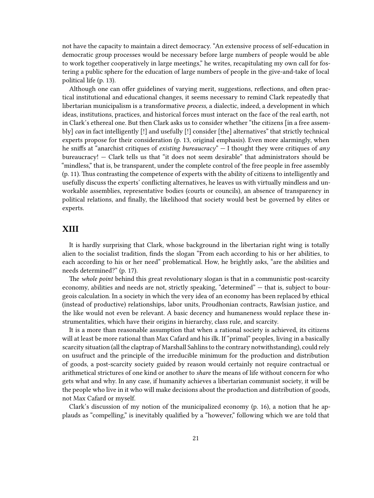not have the capacity to maintain a direct democracy. "An extensive process of self-education in democratic group processes would be necessary before large numbers of people would be able to work together cooperatively in large meetings," he writes, recapitulating my own call for fostering a public sphere for the education of large numbers of people in the give-and-take of local political life (p. 13).

Although one can offer guidelines of varying merit, suggestions, reflections, and often practical institutional and educational changes, it seems necessary to remind Clark repeatedly that libertarian municipalism is a transformative *process,* a dialectic, indeed, a development in which ideas, institutions, practices, and historical forces must interact on the face of the real earth, not in Clark's ethereal one. But then Clark asks us to consider whether "the citizens [in a free assembly] *can* in fact intelligently [!] and usefully [!] consider [the] alternatives" that strictly technical experts propose for their consideration (p. 13, original emphasis). Even more alarmingly, when he sniffs at "anarchist critiques of *existing bureaucracy*" — I thought they were critiques of *any* bureaucracy! — Clark tells us that "it does not seem desirable" that administrators should be "mindless," that is, be transparent, under the complete control of the free people in free assembly (p. 11). Thus contrasting the competence of experts with the ability of citizens to intelligently and usefully discuss the experts' conflicting alternatives, he leaves us with virtually mindless and unworkable assemblies, representative bodies (courts or councils), an absence of transparency in political relations, and finally, the likelihood that society would best be governed by elites or experts.

## <span id="page-20-0"></span>**XIII**

It is hardly surprising that Clark, whose background in the libertarian right wing is totally alien to the socialist tradition, finds the slogan "From each according to his or her abilities, to each according to his or her need" problematical. How, he brightly asks, "are the abilities and needs determined?" (p. 17).

The *whole point* behind this great revolutionary slogan is that in a communistic post-scarcity economy, abilities and needs are not, strictly speaking, "determined" — that is, subject to bourgeois calculation. In a society in which the very idea of an economy has been replaced by ethical (instead of productive) relationships, labor units, Proudhonian contracts, Rawlsian justice, and the like would not even be relevant. A basic decency and humaneness would replace these instrumentalities, which have their origins in hierarchy, class rule, and scarcity.

It is a more than reasonable assumption that when a rational society is achieved, its citizens will at least be more rational than Max Cafard and his ilk. If "primal" peoples, living in a basically scarcity situation (all the claptrap of Marshall Sahlins to the contrary notwithstanding), could rely on usufruct and the principle of the irreducible minimum for the production and distribution of goods, a post-scarcity society guided by reason would certainly not require contractual or arithmetical strictures of one kind or another to *share* the means of life without concern for who gets what and why. In any case, if humanity achieves a libertarian communist society, it will be the people who live in it who will make decisions about the production and distribution of goods, not Max Cafard or myself.

Clark's discussion of my notion of the municipalized economy (p. 16), a notion that he applauds as "compelling," is inevitably qualified by a "however," following which we are told that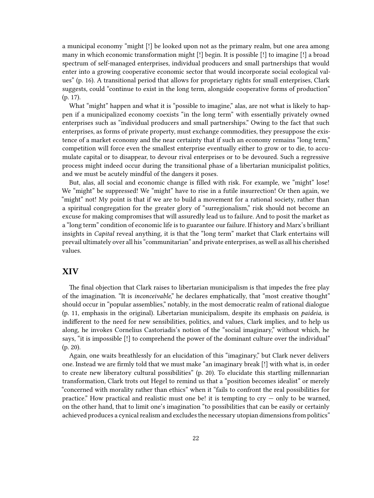a municipal economy "might [!] be looked upon not as the primary realm, but one area among many in which economic transformation might [!] begin. It is possible [!] to imagine [!] a broad spectrum of self-managed enterprises, individual producers and small partnerships that would enter into a growing cooperative economic sector that would incorporate social ecological values" (p. 16). A transitional period that allows for proprietary rights for small enterprises, Clark suggests, could "continue to exist in the long term, alongside cooperative forms of production" (p. 17).

What "might" happen and what it is "possible to imagine," alas, are not what is likely to happen if a municipalized economy coexists "in the long term" with essentially privately owned enterprises such as "individual producers and small partnerships." Owing to the fact that such enterprises, as forms of private property, must exchange commodities, they presuppose the existence of a market economy and the near certainty that if such an economy remains "long term," competition will force even the smallest enterprise eventually either to grow or to die, to accumulate capital or to disappear, to devour rival enterprises or to be devoured. Such a regressive process might indeed occur during the transitional phase of a libertarian municipalist politics, and we must be acutely mindful of the dangers it poses.

But, alas, all social and economic change is filled with risk. For example, we "might" lose! We "might" be suppressed! We "might" have to rise in a futile insurrection! Or then again, we "might" not! My point is that if we are to build a movement for a rational society, rather than a spiritual congregation for the greater glory of "surregionalism," risk should not become an excuse for making compromises that will assuredly lead us to failure. And to posit the market as a "long term" condition of economic life is to guarantee our failure. If history and Marx's brilliant insights in *Capital* reveal anything, it is that the "long term" market that Clark entertains will prevail ultimately over all his "communitarian" and private enterprises, as well as all his cherished values.

#### <span id="page-21-0"></span>**XIV**

The final objection that Clark raises to libertarian municipalism is that impedes the free play of the imagination. "It is *inconceivable*," he declares emphatically, that "most creative thought" should occur in "popular assemblies," notably, in the most democratic realm of rational dialogue (p. 11, emphasis in the original). Libertarian municipalism, despite its emphasis on *paideia,* is indifferent to the need for new sensibilities, politics, and values, Clark implies, and to help us along, he invokes Cornelius Castoriadis's notion of the "social imaginary," without which, he says, "it is impossible [!] to comprehend the power of the dominant culture over the individual" (p. 20).

Again, one waits breathlessly for an elucidation of this "imaginary," but Clark never delivers one. Instead we are firmly told that we must make "an imaginary break [!] with what is, in order to create new liberatory cultural possibilities" (p. 20). To elucidate this startling millennarian transformation, Clark trots out Hegel to remind us that a "position becomes idealist" or merely "concerned with morality rather than ethics" when it "fails to confront the real possibilities for practice." How practical and realistic must one be! it is tempting to  $\text{cry}$  — only to be warned, on the other hand, that to limit one's imagination "to possibilities that can be easily or certainly achieved produces a cynical realism and excludes the necessary utopian dimensions from politics"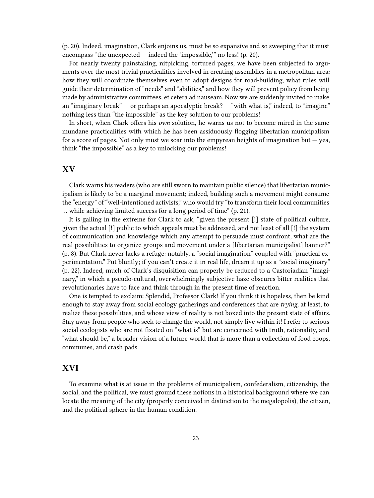(p. 20). Indeed, imagination, Clark enjoins us, must be so expansive and so sweeping that it must encompass "the unexpected — indeed the 'impossible,'" no less! (p. 20).

For nearly twenty painstaking, nitpicking, tortured pages, we have been subjected to arguments over the most trivial practicalities involved in creating assemblies in a metropolitan area: how they will coordinate themselves even to adopt designs for road-building, what rules will guide their determination of "needs" and "abilities," and how they will prevent policy from being made by administrative committees, et cetera ad nauseam. Now we are suddenly invited to make an "imaginary break"  $-$  or perhaps an apocalyptic break?  $-$  "with what is," indeed, to "imagine" nothing less than "the impossible" as the key solution to our problems!

In short, when Clark offers his *own* solution, he warns us not to become mired in the same mundane practicalities with which he has been assiduously flogging libertarian municipalism for a score of pages. Not only must we soar into the empyrean heights of imagination but  $-$  yea, think "the impossible" as a key to unlocking our problems!

## <span id="page-22-0"></span>**XV**

Clark warns his readers (who are still sworn to maintain public silence) that libertarian municipalism is likely to be a marginal movement; indeed, building such a movement might consume the "energy" of "well-intentioned activists," who would try "to transform their local communities … while achieving limited success for a long period of time" (p. 21).

It is galling in the extreme for Clark to ask, "given the present [!] state of political culture, given the actual [!] public to which appeals must be addressed, and not least of all [!] the system of communication and knowledge which any attempt to persuade must confront, what are the real possibilities to organize groups and movement under a [libertarian municipalist] banner?" (p. 8). But Clark never lacks a refuge: notably, a "social imagination" coupled with "practical experimentation." Put bluntly; if you can't create it in real life, dream it up as a "social imaginary" (p. 22). Indeed, much of Clark's disquisition can properly be reduced to a Castoriadian "imaginary," in which a pseudo-cultural, overwhelmingly subjective haze obscures bitter realities that revolutionaries have to face and think through in the present time of reaction.

One is tempted to exclaim: Splendid, Professor Clark! If you think it is hopeless, then be kind enough to stay away from social ecology gatherings and conferences that are *trying,* at least, to realize these possibilities, and whose view of reality is not boxed into the present state of affairs. Stay away from people who seek to change the world, not simply live within it! I refer to serious social ecologists who are not fixated on "what is" but are concerned with truth, rationality, and "what should be," a broader vision of a future world that is more than a collection of food coops, communes, and crash pads.

#### <span id="page-22-1"></span>**XVI**

To examine what is at issue in the problems of municipalism, confederalism, citizenship, the social, and the political, we must ground these notions in a historical background where we can locate the meaning of the city (properly conceived in distinction to the megalopolis), the citizen, and the political sphere in the human condition.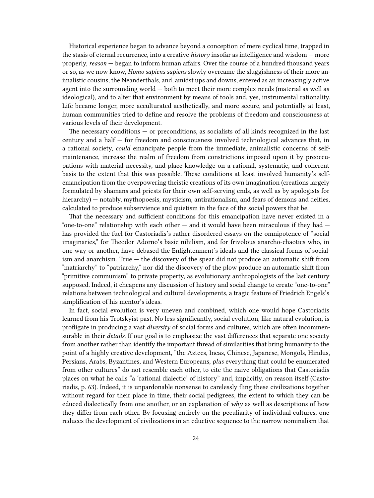Historical experience began to advance beyond a conception of mere cyclical time, trapped in the stasis of eternal recurrence, into a creative *history* insofar as intelligence and wisdom — more properly, *reason* — began to inform human affairs. Over the course of a hundred thousand years or so, as we now know, *Homo sapiens sapiens* slowly overcame the sluggishness of their more animalistic cousins, the Neanderthals, and, amidst ups and downs, entered as an increasingly active agent into the surrounding world — both to meet their more complex needs (material as well as ideological), and to alter that environment by means of tools and, yes, instrumental rationality. Life became longer, more acculturated aesthetically, and more secure, and potentially at least, human communities tried to define and resolve the problems of freedom and consciousness at various levels of their development.

The necessary conditions — or preconditions, as socialists of all kinds recognized in the last century and a half — for freedom and consciousness involved technological advances that, in a rational society, *could* emancipate people from the immediate, animalistic concerns of selfmaintenance, increase the realm of freedom from constrictions imposed upon it by preoccupations with material necessity, and place knowledge on a rational, systematic, and coherent basis to the extent that this was possible. These conditions at least involved humanity's selfemancipation from the overpowering theistic creations of its own imagination (creations largely formulated by shamans and priests for their own self-serving ends, as well as by apologists for hierarchy) — notably, mythopoesis, mysticism, antirationalism, and fears of demons and deities, calculated to produce subservience and quietism in the face of the social powers that be.

That the necessary and sufficient conditions for this emancipation have never existed in a "one-to-one" relationship with each other  $-$  and it would have been miraculous if they had  $$ has provided the fuel for Castoriadis's rather disordered essays on the omnipotence of "social imaginaries," for Theodor Adorno's basic nihilism, and for frivolous anarcho-chaotics who, in one way or another, have debased the Enlightenment's ideals and the classical forms of socialism and anarchism. True — the discovery of the spear did not produce an automatic shift from "matriarchy" to "patriarchy," nor did the discovery of the plow produce an automatic shift from "primitive communism" to private property, as evolutionary anthropologists of the last century supposed. Indeed, it cheapens any discussion of history and social change to create "one-to-one" relations between technological and cultural developments, a tragic feature of Friedrich Engels's simplification of his mentor's ideas.

In fact, social evolution is very uneven and combined, which one would hope Castoriadis learned from his Trotskyist past. No less significantly, social evolution, like natural evolution, is profligate in producing a vast *diversity* of social forms and cultures, which are often incommensurable in their *details*. If our goal is to emphasize the vast differences that separate one society from another rather than identify the important thread of similarities that bring humanity to the point of a highly creative development, "the Aztecs, Incas, Chinese, Japanese, Mongols, Hindus, Persians, Arabs, Byzantines, and Western Europeans, *plus* everything that could be enumerated from other cultures" do not resemble each other, to cite the naive obligations that Castoriadis places on what he calls "a 'rational dialectic' of history" and, implicitly, on reason itself (Castoriadis, p. 63). Indeed, it is unpardonable nonsense to carelessly fling these civilizations together without regard for their place in time, their social pedigrees, the extent to which they can be educed dialectically from one another, or an explanation of *why* as well as descriptions of how they differ from each other. By focusing entirely on the peculiarity of individual cultures, one reduces the development of civilizations in an eductive sequence to the narrow nominalism that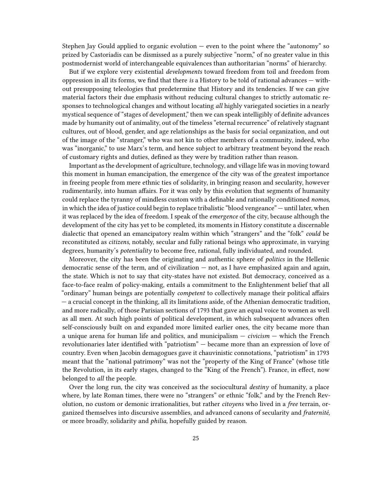Stephen Jay Gould applied to organic evolution — even to the point where the "autonomy" so prized by Castoriadis can be dismissed as a purely subjective "norm," of no greater value in this postmodernist world of interchangeable equivalences than authoritarian "norms" of hierarchy.

But if we explore very existential *developments* toward freedom from toil and freedom from oppression in all its forms, we find that there *is* a History to be told of rational advances — without presupposing teleologies that predetermine that History and its tendencies. If we can give material factors their due emphasis without reducing cultural changes to strictly automatic responses to technological changes and without locating *all* highly variegated societies in a nearly mystical sequence of "stages of development," then we can speak intelligibly of definite advances made by humanity out of animality, out of the timeless "eternal recurrence" of relatively stagnant cultures, out of blood, gender, and age relationships as the basis for social organization, and out of the image of the "stranger," who was not kin to other members of a community, indeed, who was "inorganic," to use Marx's term, and hence subject to arbitrary treatment beyond the reach of customary rights and duties, defined as they were by tradition rather than reason.

Important as the development of agriculture, technology, and village life was in moving toward this moment in human emancipation, the emergence of the city was of the greatest importance in freeing people from mere ethnic ties of solidarity, in bringing reason and secularity, however rudimentarily, into human affairs. For it was only by this evolution that segments of humanity could replace the tyranny of mindless custom with a definable and rationally conditioned *nomos,* in which the idea of justice could begin to replace tribalistic "blood vengeance" — until later, when it was replaced by the idea of freedom. I speak of the *emergence* of the city, because although the development of the city has yet to be completed, its moments in History constitute a discernable dialectic that opened an emancipatory realm within which "strangers" and the "folk" *could* be reconstituted as *citizens,* notably, secular and fully rational beings who approximate, in varying degrees, humanity's *potentiality* to become free, rational, fully individuated, and rounded.

Moreover, the city has been the originating and authentic sphere of *politics* in the Hellenic democratic sense of the term, and of civilization  $-$  not, as I have emphasized again and again, the state. Which is not to say that city-states have not existed. But democracy, conceived as a face-to-face realm of policy-making, entails a commitment to the Enlightenment belief that all "ordinary" human beings are potentially *competent* to collectively manage their political affairs — a crucial concept in the thinking, all its limitations aside, of the Athenian democratic tradition, and more radically, of those Parisian sections of 1793 that gave an equal voice to women as well as all men. At such high points of political development, in which subsequent advances often self-consciously built on and expanded more limited earlier ones, the city became more than a unique arena for human life and politics, and municipalism — *civicism* — which the French revolutionaries later identified with "patriotism" — became more than an expression of love of country. Even when Jacobin demagogues gave it chauvinistic connotations, "patriotism" in 1793 meant that the "national patrimony" was not the "property of the King of France" (whose title the Revolution, in its early stages, changed to the "King of the French"). France, in effect, now belonged to *all* the people.

Over the long run, the city was conceived as the sociocultural *destiny* of humanity, a place where, by late Roman times, there were no "strangers" or ethnic "folk," and by the French Revolution, no custom or demonic irrationalities, but rather *citoyens* who lived in a *free* terrain, organized themselves into discursive assemblies, and advanced canons of secularity and *fraternité,* or more broadly, solidarity and *philia*, hopefully guided by reason.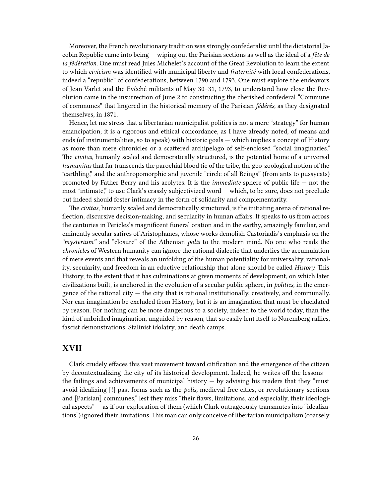Moreover, the French revolutionary tradition was strongly confederalist until the dictatorial Jacobin Republic came into being — wiping out the Parisian sections as well as the ideal of a *fête de la fédération*. One must read Jules Michelet's account of the Great Revolution to learn the extent to which *civicism* was identified with municipal liberty and *fraternité* with local confederations, indeed a "republic" of confederations, between 1790 and 1793. One must explore the endeavors of Jean Varlet and the Evêché militants of May 30–31, 1793, to understand how close the Revolution came in the insurrection of June 2 to constructing the cherished confederal "Commune of communes" that lingered in the historical memory of the Parisian *fédérés,* as they designated themselves, in 1871.

Hence, let me stress that a libertarian municipalist politics is not a mere "strategy" for human emancipation; it is a rigorous and ethical concordance, as I have already noted, of means and ends (of instrumentalities, so to speak) with historic goals — which implies a concept of History as more than mere chronicles or a scattered archipelago of self-enclosed "social imaginaries." The *civitas,* humanly scaled and democratically structured, is the potential home of a universal *humanitas* that far transcends the parochial blood tie of the tribe, the geo-zoological notion of the "earthling," and the anthropomorphic and juvenile "circle of all Beings" (from ants to pussycats) promoted by Father Berry and his acolytes. It is the *immediate* sphere of public life — not the most "intimate," to use Clark's crassly subjectivized word — which, to be sure, does not preclude but indeed should foster intimacy in the form of solidarity and complementarity.

The *civitas,* humanly scaled and democratically structured, is the initiating arena of rational reflection, discursive decision-making, and secularity in human affairs. It speaks to us from across the centuries in Pericles's magnificent funeral oration and in the earthy, amazingly familiar, and eminently secular satires of Aristophanes, whose works demolish Castoriadis's emphasis on the *"mysterium"* and "closure" of the Athenian *polis* to the modern mind. No one who reads the *chronicles* of Western humanity can ignore the rational dialectic that underlies the accumulation of mere events and that reveals an unfolding of the human potentiality for universality, rationality, secularity, and freedom in an eductive relationship that alone should be called *History.* This History, to the extent that it has culminations at given moments of development, on which later civilizations built, is anchored in the evolution of a secular public sphere, in *politics,* in the emergence of the rational city — the city that is rational institutionally, creatively, and communally. Nor can imagination be excluded from History, but it is an imagination that must be elucidated by reason. For nothing can be more dangerous to a society, indeed to the world today, than the kind of unbridled imagination, unguided by reason, that so easily lent itself to Nuremberg rallies, fascist demonstrations, Stalinist idolatry, and death camps.

## <span id="page-25-0"></span>**XVII**

Clark crudely effaces this vast movement toward citification and the emergence of the citizen by decontextualizing the city of its historical development. Indeed, he writes off the lessons the failings and achievements of municipal history  $-$  by advising his readers that they "must" avoid idealizing [!] past forms such as the *polis,* medieval free cities, or revolutionary sections and [Parisian] communes," lest they miss "their flaws, limitations, and especially, their ideological aspects" — as if our exploration of them (which Clark outrageously transmutes into "idealizations") ignored their limitations.This man can only conceive of libertarian municipalism (coarsely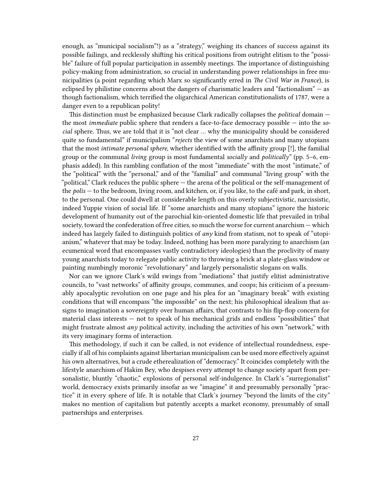enough, as "municipal socialism"!) as a "strategy," weighing its chances of success against its possible failings, and recklessly shifting his critical positions from outright elitism to the "possible" failure of full popular participation in assembly meetings. The importance of distinguishing policy-making from administration, so crucial in understanding power relationships in free municipalities (a point regarding which Marx so significantly erred in *The Civil War in France*), is eclipsed by philistine concerns about the dangers of charismatic leaders and "factionalism" — as though factionalism, which terrified the oligarchical American constitutionalists of 1787, were a danger even to a republican polity!

This distinction must be emphasized because Clark radically collapses the *political* domain the most *immediate* public sphere that renders a face-to-face democracy possible — into the *social* sphere. Thus, we are told that it is "not clear … why the municipality should be considered quite so fundamental" if municipalism "*rejects* the view of some anarchists and many utopians that the most *intimate personal sphere,* whether identified with the affinity group [!], the familial group or the communal *living* group is most fundamental *socially* and *politically*" (pp. 5–6, emphasis added). In this rambling conflation of the most "immediate" with the most "intimate," of the "political" with the "personal," and of the "familial" and communal "living group" with the "political," Clark reduces the public sphere — the arena of the political or the self-management of the *polis* — to the bedroom, living room, and kitchen, or, if you like, to the café and park, in short, to the personal. One could dwell at considerable length on this overly subjectivistic, narcissistic, indeed Yuppie vision of social life. If "some anarchists and many utopians" ignore the historic development of humanity out of the parochial kin-oriented domestic life that prevailed in tribal society, toward the confederation of free cities, so much the worse for current anarchism — which indeed has largely failed to distinguish politics of *any* kind from statism, not to speak of "utopianism," whatever that may be today. Indeed, nothing has been more paralyzing to anarchism (an ecumenical word that encompasses vastly contradictory ideologies) than the proclivity of many young anarchists today to relegate public activity to throwing a brick at a plate-glass window or painting numbingly moronic "revolutionary" and largely personalistic slogans on walls.

Nor can we ignore Clark's wild swings from "mediations" that justify elitist administrative councils, to "vast networks" of affinity groups, communes, and coops; his criticism of a presumably apocalyptic revolution on one page and his plea for an "imaginary break" with existing conditions that will encompass "the impossible" on the next; his philosophical idealism that assigns to imagination a sovereignty over human affairs, that contrasts to his flip-flop concern for material class interests — not to speak of his mechanical grids and endless "possibilities" that might frustrate almost *any* political activity, including the activities of his own "network," with its very imaginary forms of interaction.

This methodology, if such it can be called, is not evidence of intellectual roundedness, especially if all of his complaints against libertarian municipalism can be used more effectively against his own alternatives, but a crude etherealization of "democracy." It coincides completely with the lifestyle anarchism of Hakim Bey, who despises every attempt to change society apart from personalistic, bluntly "chaotic," explosions of personal self-indulgence. In Clark's "surregionalist" world, democracy exists primarily insofar as we "imagine" it and presumably personally "practice" it in every sphere of life. It is notable that Clark's journey "beyond the limits of the city" makes no mention of capitalism but patently accepts a market economy, presumably of small partnerships and enterprises.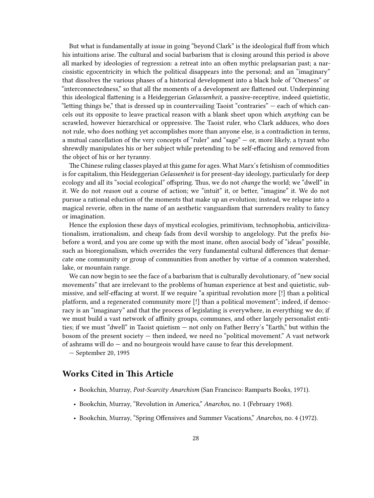But what is fundamentally at issue in going "beyond Clark" is the ideological fluff from which his intuitions arise. The cultural and social barbarism that is closing around this period is above all marked by ideologies of regression: a retreat into an often mythic prelapsarian past; a narcissistic egocentricity in which the political disappears into the personal; and an "imaginary" that dissolves the various phases of a historical development into a black hole of "Oneness" or "interconnectedness," so that all the moments of a development are flattened out. Underpinning this ideological flattening is a Heideggerian *Gelassenheit,* a passive-receptive, indeed quietistic, "letting things be," that is dressed up in countervailing Taoist "contraries" — each of which cancels out its opposite to leave practical reason with a blank sheet upon which *anything* can be scrawled, however hierarchical or oppressive. The Taoist ruler, who Clark adduces, who does not rule, who does nothing yet accomplishes more than anyone else, is a contradiction in terms, a mutual cancellation of the very concepts of "ruler" and "sage" — or, more likely, a tyrant who shrewdly manipulates his or her subject while pretending to be self-effacing and removed from the object of his or her tyranny.

The Chinese ruling classes played at this game for ages. What Marx's fetishism of commodities is for capitalism, this Heideggerian *Gelassenheit* is for present-day ideology, particularly for deep ecology and all its "social ecological" offspring. Thus, we do not *change* the world; we "dwell" in it. We do not *reason* out a course of action; we "intuit" it, or better, "imagine" it. We do not pursue a rational eduction of the moments that make up an evolution; instead, we relapse into a magical reverie, often in the name of an aesthetic vanguardism that surrenders reality to fancy or imagination.

Hence the explosion these days of mystical ecologies, primitivism, technophobia, anticivilizationalism, irrationalism, and cheap fads from devil worship to angelology. Put the prefix *bio*before a word, and you are come up with the most inane, often asocial body of "ideas" possible, such as bioregionalism, which overrides the very fundamental cultural differences that demarcate one community or group of communities from another by virtue of a common watershed, lake, or mountain range.

We can now begin to see the face of a barbarism that is culturally devolutionary, of "new social movements" that are irrelevant to the problems of human experience at best and quietistic, submissive, and self-effacing at worst. If we require "a spiritual revolution more [!] than a political platform, and a regenerated community more [!] than a political movement"; indeed, if democracy is an "imaginary" and that the process of legislating is everywhere, in everything we do; if we must build a vast network of affinity groups, communes, and other largely personalist entities; if we must "dwell" in Taoist quietism — not only on Father Berry's "Earth," but within the bosom of the present society — then indeed, we need no "political movement." A vast network of ashrams will do — and no bourgeois would have cause to fear this development.

— September 20, 1995

## <span id="page-27-0"></span>**Works Cited in This Article**

- Bookchin, Murray, *Post-Scarcity Anarchism* (San Francisco: Ramparts Books, 1971).
- Bookchin, Murray, "Revolution in America," *Anarchos,* no. 1 (February 1968).
- Bookchin, Murray, "Spring Offensives and Summer Vacations," *Anarchos,* no. 4 (1972).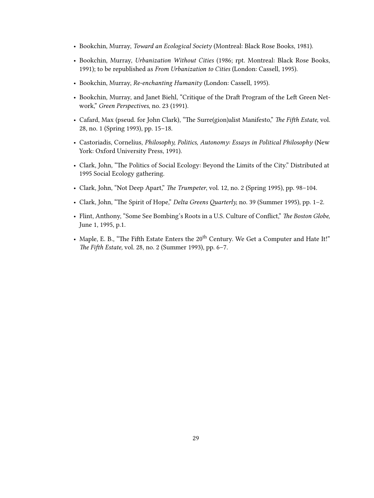- Bookchin, Murray, *Toward an Ecological Society* (Montreal: Black Rose Books, 1981).
- Bookchin, Murray, *Urbanization Without Cities* (1986; rpt. Montreal: Black Rose Books, 1991); to be republished as *From Urbanization to Cities* (London: Cassell, 1995).
- Bookchin, Murray, *Re-enchanting Humanity* (London: Cassell, 1995).
- Bookchin, Murray, and Janet Biehl, "Critique of the Draft Program of the Left Green Network," *Green Perspectives*, no. 23 (1991).
- Cafard, Max (pseud. for John Clark), "The Surre(gion)alist Manifesto," *The Fifth Estate,* vol. 28, no. 1 (Spring 1993), pp. 15–18.
- Castoriadis, Cornelius, *Philosophy, Politics, Autonomy: Essays in Political Philosophy* (New York: Oxford University Press, 1991).
- Clark, John, "The Politics of Social Ecology: Beyond the Limits of the City." Distributed at 1995 Social Ecology gathering.
- Clark, John, "Not Deep Apart," *The Trumpeter*, vol. 12, no. 2 (Spring 1995), pp. 98–104.
- Clark, John, "The Spirit of Hope," *Delta Greens Quarterly,* no. 39 (Summer 1995), pp. 1–2.
- Flint, Anthony, "Some See Bombing's Roots in a U.S. Culture of Conflict," *The Boston Globe,* June 1, 1995, p.1.
- Maple, E. B., "The Fifth Estate Enters the 20<sup>th</sup> Century. We Get a Computer and Hate It!" *The Fifth Estate,* vol. 28, no. 2 (Summer 1993), pp. 6–7.